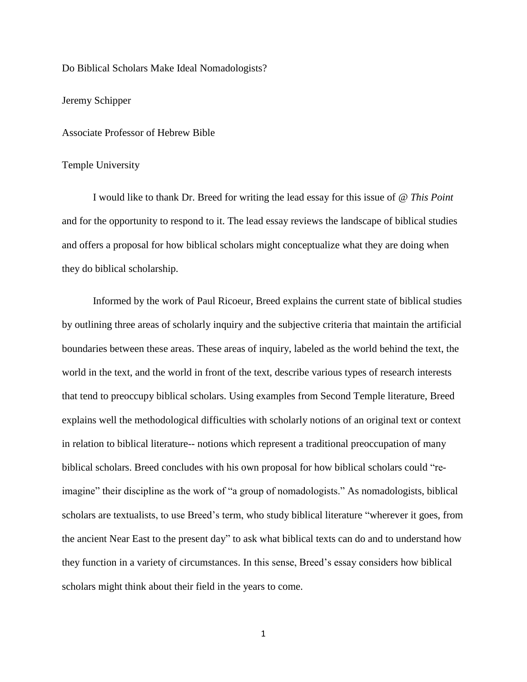Do Biblical Scholars Make Ideal Nomadologists?

## Jeremy Schipper

Associate Professor of Hebrew Bible

## Temple University

I would like to thank Dr. Breed for writing the lead essay for this issue of *@ This Point* and for the opportunity to respond to it. The lead essay reviews the landscape of biblical studies and offers a proposal for how biblical scholars might conceptualize what they are doing when they do biblical scholarship.

Informed by the work of Paul Ricoeur, Breed explains the current state of biblical studies by outlining three areas of scholarly inquiry and the subjective criteria that maintain the artificial boundaries between these areas. These areas of inquiry, labeled as the world behind the text, the world in the text, and the world in front of the text, describe various types of research interests that tend to preoccupy biblical scholars. Using examples from Second Temple literature, Breed explains well the methodological difficulties with scholarly notions of an original text or context in relation to biblical literature-- notions which represent a traditional preoccupation of many biblical scholars. Breed concludes with his own proposal for how biblical scholars could "reimagine" their discipline as the work of "a group of nomadologists." As nomadologists, biblical scholars are textualists, to use Breed's term, who study biblical literature "wherever it goes, from the ancient Near East to the present day" to ask what biblical texts can do and to understand how they function in a variety of circumstances. In this sense, Breed's essay considers how biblical scholars might think about their field in the years to come.

1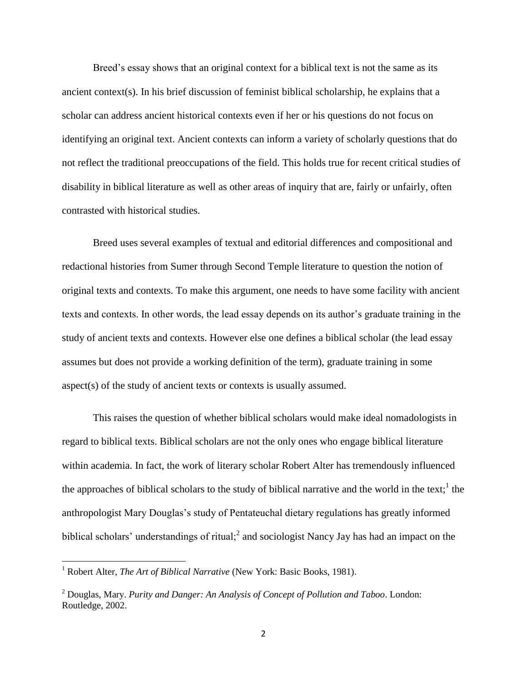Breed's essay shows that an original context for a biblical text is not the same as its ancient context(s). In his brief discussion of feminist biblical scholarship, he explains that a scholar can address ancient historical contexts even if her or his questions do not focus on identifying an original text. Ancient contexts can inform a variety of scholarly questions that do not reflect the traditional preoccupations of the field. This holds true for recent critical studies of disability in biblical literature as well as other areas of inquiry that are, fairly or unfairly, often contrasted with historical studies.

Breed uses several examples of textual and editorial differences and compositional and redactional histories from Sumer through Second Temple literature to question the notion of original texts and contexts. To make this argument, one needs to have some facility with ancient texts and contexts. In other words, the lead essay depends on its author's graduate training in the study of ancient texts and contexts. However else one defines a biblical scholar (the lead essay assumes but does not provide a working definition of the term), graduate training in some aspect(s) of the study of ancient texts or contexts is usually assumed.

This raises the question of whether biblical scholars would make ideal nomadologists in regard to biblical texts. Biblical scholars are not the only ones who engage biblical literature within academia. In fact, the work of literary scholar Robert Alter has tremendously influenced the approaches of biblical scholars to the study of biblical narrative and the world in the text;<sup>1</sup> the anthropologist Mary Douglas's study of Pentateuchal dietary regulations has greatly informed biblical scholars' understandings of ritual;<sup>2</sup> and sociologist Nancy Jay has had an impact on the

l

<sup>&</sup>lt;sup>1</sup> Robert Alter, *The Art of Biblical Narrative* (New York: Basic Books, 1981).

<sup>2</sup> Douglas, Mary. *Purity and Danger: An Analysis of Concept of Pollution and Taboo*. London: Routledge, 2002.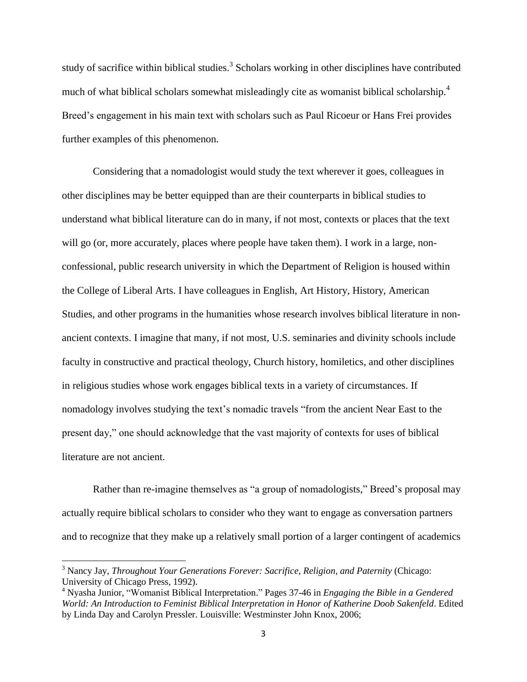study of sacrifice within biblical studies.<sup>3</sup> Scholars working in other disciplines have contributed much of what biblical scholars somewhat misleadingly cite as womanist biblical scholarship.<sup>4</sup> Breed's engagement in his main text with scholars such as Paul Ricoeur or Hans Frei provides further examples of this phenomenon.

Considering that a nomadologist would study the text wherever it goes, colleagues in other disciplines may be better equipped than are their counterparts in biblical studies to understand what biblical literature can do in many, if not most, contexts or places that the text will go (or, more accurately, places where people have taken them). I work in a large, nonconfessional, public research university in which the Department of Religion is housed within the College of Liberal Arts. I have colleagues in English, Art History, History, American Studies, and other programs in the humanities whose research involves biblical literature in nonancient contexts. I imagine that many, if not most, U.S. seminaries and divinity schools include faculty in constructive and practical theology, Church history, homiletics, and other disciplines in religious studies whose work engages biblical texts in a variety of circumstances. If nomadology involves studying the text's nomadic travels "from the ancient Near East to the present day," one should acknowledge that the vast majority of contexts for uses of biblical literature are not ancient.

Rather than re-imagine themselves as "a group of nomadologists," Breed's proposal may actually require biblical scholars to consider who they want to engage as conversation partners and to recognize that they make up a relatively small portion of a larger contingent of academics

 $\overline{\phantom{a}}$ 

<sup>&</sup>lt;sup>3</sup> Nancy Jay, *Throughout Your Generations Forever: Sacrifice, Religion, and Paternity (Chicago:* University of Chicago Press, 1992).

<sup>4</sup> Nyasha Junior, "Womanist Biblical Interpretation." Pages 37-46 in *Engaging the Bible in a Gendered World: An Introduction to Feminist Biblical Interpretation in Honor of Katherine Doob Sakenfeld*. Edited by Linda Day and Carolyn Pressler. Louisville: Westminster John Knox, 2006;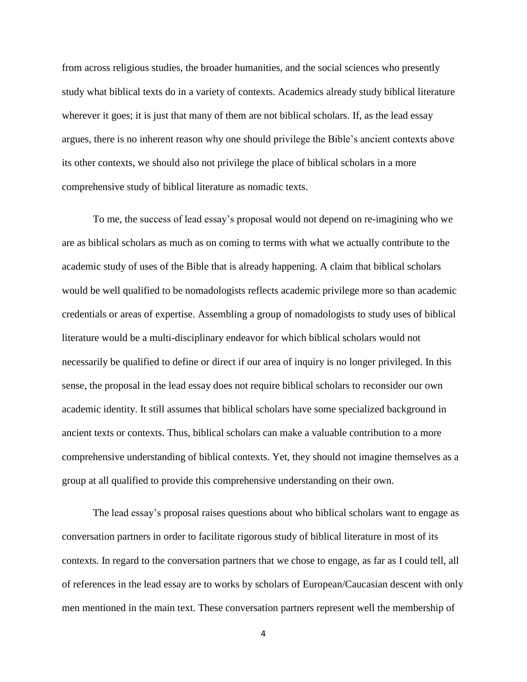from across religious studies, the broader humanities, and the social sciences who presently study what biblical texts do in a variety of contexts. Academics already study biblical literature wherever it goes; it is just that many of them are not biblical scholars. If, as the lead essay argues, there is no inherent reason why one should privilege the Bible's ancient contexts above its other contexts, we should also not privilege the place of biblical scholars in a more comprehensive study of biblical literature as nomadic texts.

To me, the success of lead essay's proposal would not depend on re-imagining who we are as biblical scholars as much as on coming to terms with what we actually contribute to the academic study of uses of the Bible that is already happening. A claim that biblical scholars would be well qualified to be nomadologists reflects academic privilege more so than academic credentials or areas of expertise. Assembling a group of nomadologists to study uses of biblical literature would be a multi-disciplinary endeavor for which biblical scholars would not necessarily be qualified to define or direct if our area of inquiry is no longer privileged. In this sense, the proposal in the lead essay does not require biblical scholars to reconsider our own academic identity. It still assumes that biblical scholars have some specialized background in ancient texts or contexts. Thus, biblical scholars can make a valuable contribution to a more comprehensive understanding of biblical contexts. Yet, they should not imagine themselves as a group at all qualified to provide this comprehensive understanding on their own.

The lead essay's proposal raises questions about who biblical scholars want to engage as conversation partners in order to facilitate rigorous study of biblical literature in most of its contexts. In regard to the conversation partners that we chose to engage, as far as I could tell, all of references in the lead essay are to works by scholars of European/Caucasian descent with only men mentioned in the main text. These conversation partners represent well the membership of

4